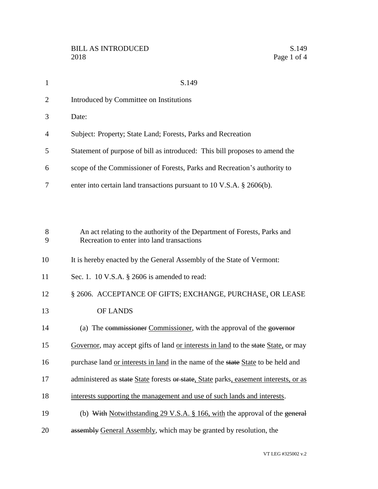| 1              | S.149                                                                                                                  |
|----------------|------------------------------------------------------------------------------------------------------------------------|
| $\overline{2}$ | Introduced by Committee on Institutions                                                                                |
| 3              | Date:                                                                                                                  |
| 4              | Subject: Property; State Land; Forests, Parks and Recreation                                                           |
| 5              | Statement of purpose of bill as introduced: This bill proposes to amend the                                            |
| 6              | scope of the Commissioner of Forests, Parks and Recreation's authority to                                              |
| 7              | enter into certain land transactions pursuant to 10 V.S.A. § 2606(b).                                                  |
|                |                                                                                                                        |
|                |                                                                                                                        |
| 8<br>9         | An act relating to the authority of the Department of Forests, Parks and<br>Recreation to enter into land transactions |
| 10             | It is hereby enacted by the General Assembly of the State of Vermont:                                                  |
| 11             | Sec. 1. 10 V.S.A. $\S$ 2606 is amended to read:                                                                        |
| 12             | § 2606. ACCEPTANCE OF GIFTS; EXCHANGE, PURCHASE, OR LEASE                                                              |
| 13             | OF LANDS                                                                                                               |
| 14             | (a) The commissioner Commissioner, with the approval of the governor                                                   |
| 15             | Governor, may accept gifts of land or interests in land to the state State, or may                                     |
| 16             | purchase land or interests in land in the name of the state State to be held and                                       |
| 17             | administered as state State forests or state, State parks, easement interests, or as                                   |
| 18             | interests supporting the management and use of such lands and interests.                                               |
| 19             | (b) With Notwithstanding 29 V.S.A. § 166, with the approval of the general                                             |
| 20             | assembly General Assembly, which may be granted by resolution, the                                                     |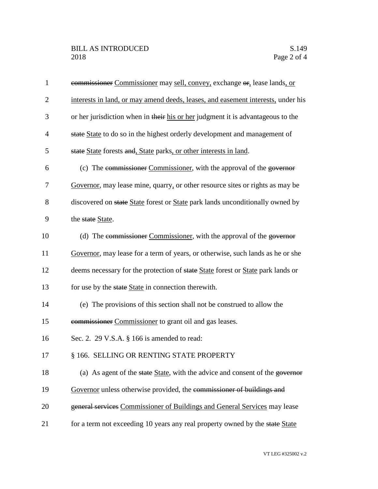| $\mathbf{1}$   | commissioner Commissioner may sell, convey, exchange or, lease lands, or         |
|----------------|----------------------------------------------------------------------------------|
| $\overline{c}$ | interests in land, or may amend deeds, leases, and easement interests, under his |
| 3              | or her jurisdiction when in their his or her judgment it is advantageous to the  |
| 4              | state State to do so in the highest orderly development and management of        |
| 5              | state State forests and, State parks, or other interests in land.                |
| 6              | (c) The commissioner Commissioner, with the approval of the governor             |
| 7              | Governor, may lease mine, quarry, or other resource sites or rights as may be    |
| 8              | discovered on state State forest or State park lands unconditionally owned by    |
| 9              | the state State.                                                                 |
| 10             | (d) The commissioner Commissioner, with the approval of the governor             |
| 11             | Governor, may lease for a term of years, or otherwise, such lands as he or she   |
| 12             | deems necessary for the protection of state State forest or State park lands or  |
| 13             | for use by the state State in connection therewith.                              |
| 14             | (e) The provisions of this section shall not be construed to allow the           |
| 15             | commissioner Commissioner to grant oil and gas leases.                           |
| 16             | Sec. 2. 29 V.S.A. § 166 is amended to read:                                      |
| 17             | § 166. SELLING OR RENTING STATE PROPERTY                                         |
| 18             | (a) As agent of the state State, with the advice and consent of the governor     |
| 19             | Governor unless otherwise provided, the commissioner of buildings and            |
| 20             | general services Commissioner of Buildings and General Services may lease        |
| 21             | for a term not exceeding 10 years any real property owned by the state State     |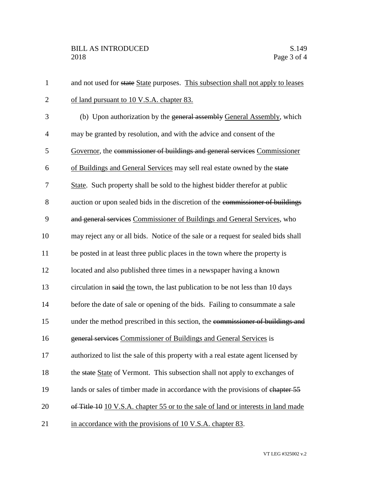| $\mathbf{1}$   | and not used for state State purposes. This subsection shall not apply to leases  |
|----------------|-----------------------------------------------------------------------------------|
| $\overline{2}$ | of land pursuant to 10 V.S.A. chapter 83.                                         |
| 3              | (b) Upon authorization by the general assembly General Assembly, which            |
| $\overline{4}$ | may be granted by resolution, and with the advice and consent of the              |
| 5              | Governor, the commissioner of buildings and general services Commissioner         |
| 6              | of Buildings and General Services may sell real estate owned by the state         |
| 7              | State. Such property shall be sold to the highest bidder therefor at public       |
| 8              | auction or upon sealed bids in the discretion of the commissioner of buildings    |
| 9              | and general services Commissioner of Buildings and General Services, who          |
| 10             | may reject any or all bids. Notice of the sale or a request for sealed bids shall |
| 11             | be posted in at least three public places in the town where the property is       |
| 12             | located and also published three times in a newspaper having a known              |
| 13             | circulation in said the town, the last publication to be not less than 10 days    |
| 14             | before the date of sale or opening of the bids. Failing to consummate a sale      |
| 15             | under the method prescribed in this section, the commissioner of buildings and    |
| 16             | general services Commissioner of Buildings and General Services is                |
| 17             | authorized to list the sale of this property with a real estate agent licensed by |
| 18             | the state State of Vermont. This subsection shall not apply to exchanges of       |
| 19             | lands or sales of timber made in accordance with the provisions of chapter 55     |
| 20             | of Title 10 10 V.S.A. chapter 55 or to the sale of land or interests in land made |
| 21             | in accordance with the provisions of 10 V.S.A. chapter 83.                        |